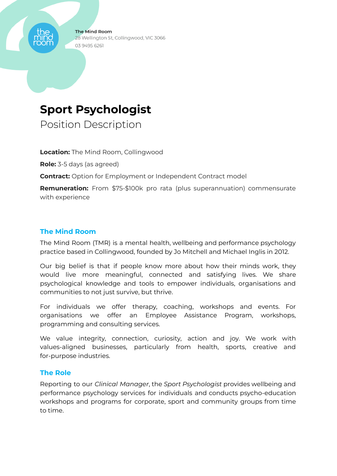# **Sport Psychologist**

Position Description

**Location:** The Mind Room, Collingwood

**Role:** 3-5 days (as agreed)

**Contract:** Option for Employment or Independent Contract model

**Remuneration:** From \$75-\$100k pro rata (plus superannuation) commensurate with experience

#### **The Mind Room**

The Mind Room (TMR) is a mental health, wellbeing and performance psychology practice based in Collingwood, founded by Jo Mitchell and Michael Inglis in 2012.

Our big belief is that if people know more about how their minds work, they would live more meaningful, connected and satisfying lives. We share psychological knowledge and tools to empower individuals, organisations and communities to not just survive, but thrive.

For individuals we offer therapy, coaching, workshops and events. For organisations we offer an Employee Assistance Program, workshops, programming and consulting services.

We value integrity, connection, curiosity, action and joy. We work with values-aligned businesses, particularly from health, sports, creative and for-purpose industries.

#### **The Role**

Reporting to our *Clinical Manager*, the *Sport Psychologist* provides wellbeing and performance psychology services for individuals and conducts psycho-education workshops and programs for corporate, sport and community groups from time to time.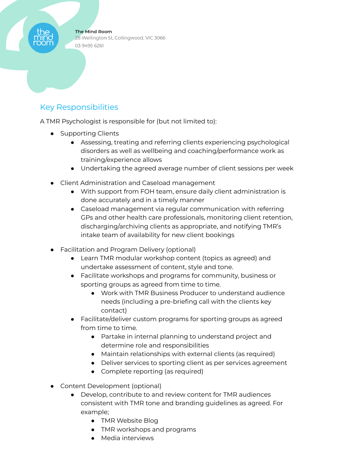## Key Responsibilities

A TMR Psychologist is responsible for (but not limited to):

- Supporting Clients
	- Assessing, treating and referring clients experiencing psychological disorders as well as wellbeing and coaching/performance work as training/experience allows
	- Undertaking the agreed average number of client sessions per week
- Client Administration and Caseload management
	- With support from FOH team, ensure daily client administration is done accurately and in a timely manner
	- Caseload management via regular communication with referring GPs and other health care professionals, monitoring client retention, discharging/archiving clients as appropriate, and notifying TMR's intake team of availability for new client bookings
- Facilitation and Program Delivery (optional)
	- Learn TMR modular workshop content (topics as agreed) and undertake assessment of content, style and tone.
	- Facilitate workshops and programs for community, business or sporting groups as agreed from time to time.
		- Work with TMR Business Producer to understand audience needs (including a pre-briefing call with the clients key contact)
	- Facilitate/deliver custom programs for sporting groups as agreed from time to time.
		- Partake in internal planning to understand project and determine role and responsibilities
		- Maintain relationships with external clients (as required)
		- Deliver services to sporting client as per services agreement
		- Complete reporting (as required)
- Content Development (optional)
	- Develop, contribute to and review content for TMR audiences consistent with TMR tone and branding guidelines as agreed. For example;
		- TMR Website Blog
		- TMR workshops and programs
		- Media interviews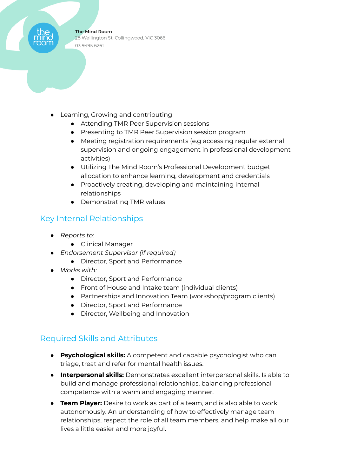- Learning, Growing and contributing
	- Attending TMR Peer Supervision sessions
	- Presenting to TMR Peer Supervision session program
	- Meeting registration requirements (e.g accessing regular external supervision and ongoing engagement in professional development activities)
	- Utilizing The Mind Room's Professional Development budget allocation to enhance learning, development and credentials
	- Proactively creating, developing and maintaining internal relationships
	- Demonstrating TMR values

#### Key Internal Relationships

- *Reports to:*
	- Clinical Manager
- *Endorsement Supervisor (if required)*
	- Director, Sport and Performance
- *Works with:*
	- Director, Sport and Performance
	- Front of House and Intake team (individual clients)
	- Partnerships and Innovation Team (workshop/program clients)
	- Director, Sport and Performance
	- Director, Wellbeing and Innovation

#### Required Skills and Attributes

- **Psychological skills:** A competent and capable psychologist who can triage, treat and refer for mental health issues.
- **Interpersonal skills:** Demonstrates excellent interpersonal skills. Is able to build and manage professional relationships, balancing professional competence with a warm and engaging manner.
- **Team Player:** Desire to work as part of a team, and is also able to work autonomously. An understanding of how to effectively manage team relationships, respect the role of all team members, and help make all our lives a little easier and more joyful.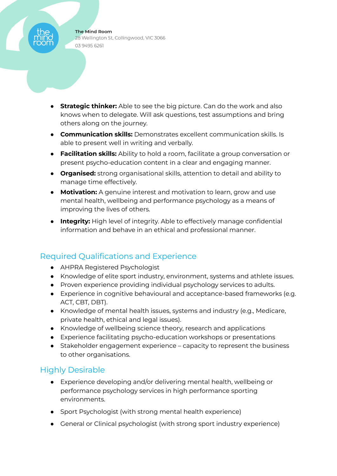- **Strategic thinker:** Able to see the big picture. Can do the work and also knows when to delegate. Will ask questions, test assumptions and bring others along on the journey.
- **Communication skills:** Demonstrates excellent communication skills. Is able to present well in writing and verbally.
- **Facilitation skills:** Ability to hold a room, facilitate a group conversation or present psycho-education content in a clear and engaging manner.
- **Organised:** strong organisational skills, attention to detail and ability to manage time effectively.
- **Motivation:** A genuine interest and motivation to learn, grow and use mental health, wellbeing and performance psychology as a means of improving the lives of others.
- **Integrity:** High level of integrity. Able to effectively manage confidential information and behave in an ethical and professional manner.

## Required Qualifications and Experience

- AHPRA Registered Psychologist
- Knowledge of elite sport industry, environment, systems and athlete issues.
- Proven experience providing individual psychology services to adults.
- Experience in cognitive behavioural and acceptance-based frameworks (e.g. ACT, CBT, DBT).
- Knowledge of mental health issues, systems and industry (e.g., Medicare, private health, ethical and legal issues).
- Knowledge of wellbeing science theory, research and applications
- Experience facilitating psycho-education workshops or presentations
- Stakeholder engagement experience capacity to represent the business to other organisations.

## Highly Desirable

- Experience developing and/or delivering mental health, wellbeing or performance psychology services in high performance sporting environments.
- Sport Psychologist (with strong mental health experience)
- General or Clinical psychologist (with strong sport industry experience)